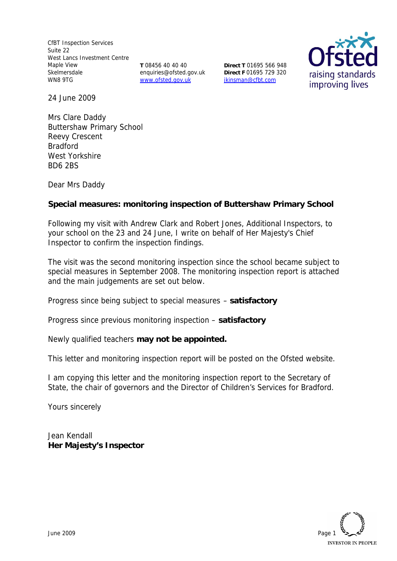CfBT Inspection Services Suite 22 West Lancs Investment Centre Maple View Skelmersdale WN8 9TG

**T** 08456 40 40 40 enquiries@ofsted.gov.uk www.ofsted.gov.uk

**Direct T** 01695 566 948 **Direct F** 01695 729 320 jkinsman@cfbt.com



24 June 2009

Mrs Clare Daddy Buttershaw Primary School Reevy Crescent **Bradford** West Yorkshire BD6 2BS

Dear Mrs Daddy

**Special measures: monitoring inspection of Buttershaw Primary School** 

Following my visit with Andrew Clark and Robert Jones, Additional Inspectors, to your school on the 23 and 24 June, I write on behalf of Her Majesty's Chief Inspector to confirm the inspection findings.

The visit was the second monitoring inspection since the school became subject to special measures in September 2008. The monitoring inspection report is attached and the main judgements are set out below.

Progress since being subject to special measures – **satisfactory**

Progress since previous monitoring inspection – **satisfactory**

Newly qualified teachers **may not be appointed.**

This letter and monitoring inspection report will be posted on the Ofsted website.

I am copying this letter and the monitoring inspection report to the Secretary of State, the chair of governors and the Director of Children's Services for Bradford.

Yours sincerely

Jean Kendall **Her Majesty's Inspector**

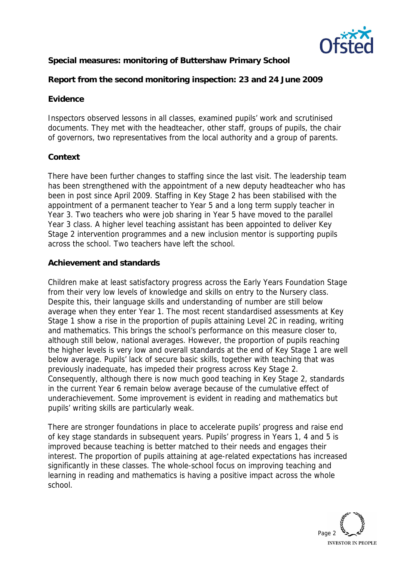

**Special measures: monitoring of Buttershaw Primary School**

**Report from the second monitoring inspection: 23 and 24 June 2009**

# **Evidence**

Inspectors observed lessons in all classes, examined pupils' work and scrutinised documents. They met with the headteacher, other staff, groups of pupils, the chair of governors, two representatives from the local authority and a group of parents.

# **Context**

There have been further changes to staffing since the last visit. The leadership team has been strengthened with the appointment of a new deputy headteacher who has been in post since April 2009. Staffing in Key Stage 2 has been stabilised with the appointment of a permanent teacher to Year 5 and a long term supply teacher in Year 3. Two teachers who were job sharing in Year 5 have moved to the parallel Year 3 class. A higher level teaching assistant has been appointed to deliver Key Stage 2 intervention programmes and a new inclusion mentor is supporting pupils across the school. Two teachers have left the school.

# **Achievement and standards**

Children make at least satisfactory progress across the Early Years Foundation Stage from their very low levels of knowledge and skills on entry to the Nursery class. Despite this, their language skills and understanding of number are still below average when they enter Year 1. The most recent standardised assessments at Key Stage 1 show a rise in the proportion of pupils attaining Level 2C in reading, writing and mathematics. This brings the school's performance on this measure closer to, although still below, national averages. However, the proportion of pupils reaching the higher levels is very low and overall standards at the end of Key Stage 1 are well below average. Pupils' lack of secure basic skills, together with teaching that was previously inadequate, has impeded their progress across Key Stage 2. Consequently, although there is now much good teaching in Key Stage 2, standards in the current Year 6 remain below average because of the cumulative effect of underachievement. Some improvement is evident in reading and mathematics but pupils' writing skills are particularly weak.

There are stronger foundations in place to accelerate pupils' progress and raise end of key stage standards in subsequent years. Pupils' progress in Years 1, 4 and 5 is improved because teaching is better matched to their needs and engages their interest. The proportion of pupils attaining at age-related expectations has increased significantly in these classes. The whole-school focus on improving teaching and learning in reading and mathematics is having a positive impact across the whole school.

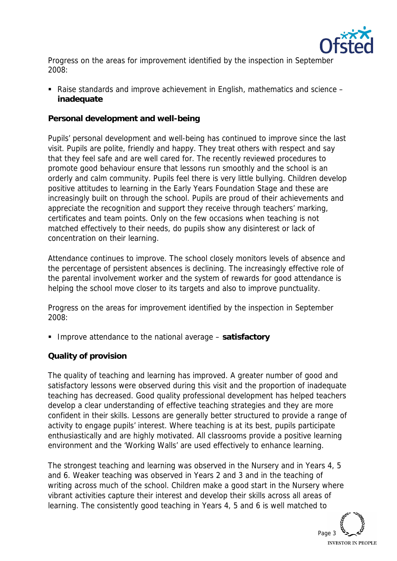

Progress on the areas for improvement identified by the inspection in September 2008:

■ Raise standards and improve achievement in English, mathematics and science – **inadequate** 

**Personal development and well-being** 

Pupils' personal development and well-being has continued to improve since the last visit. Pupils are polite, friendly and happy. They treat others with respect and say that they feel safe and are well cared for. The recently reviewed procedures to promote good behaviour ensure that lessons run smoothly and the school is an orderly and calm community. Pupils feel there is very little bullying. Children develop positive attitudes to learning in the Early Years Foundation Stage and these are increasingly built on through the school. Pupils are proud of their achievements and appreciate the recognition and support they receive through teachers' marking, certificates and team points. Only on the few occasions when teaching is not matched effectively to their needs, do pupils show any disinterest or lack of concentration on their learning.

Attendance continues to improve. The school closely monitors levels of absence and the percentage of persistent absences is declining. The increasingly effective role of the parental involvement worker and the system of rewards for good attendance is helping the school move closer to its targets and also to improve punctuality.

Progress on the areas for improvement identified by the inspection in September 2008:

■ Improve attendance to the national average – satisfactory

# **Quality of provision**

The quality of teaching and learning has improved. A greater number of good and satisfactory lessons were observed during this visit and the proportion of inadequate teaching has decreased. Good quality professional development has helped teachers develop a clear understanding of effective teaching strategies and they are more confident in their skills. Lessons are generally better structured to provide a range of activity to engage pupils' interest. Where teaching is at its best, pupils participate enthusiastically and are highly motivated. All classrooms provide a positive learning environment and the 'Working Walls' are used effectively to enhance learning.

The strongest teaching and learning was observed in the Nursery and in Years 4, 5 and 6. Weaker teaching was observed in Years 2 and 3 and in the teaching of writing across much of the school. Children make a good start in the Nursery where vibrant activities capture their interest and develop their skills across all areas of learning. The consistently good teaching in Years 4, 5 and 6 is well matched to

> Page 3 **INVESTOR IN PEOPLE**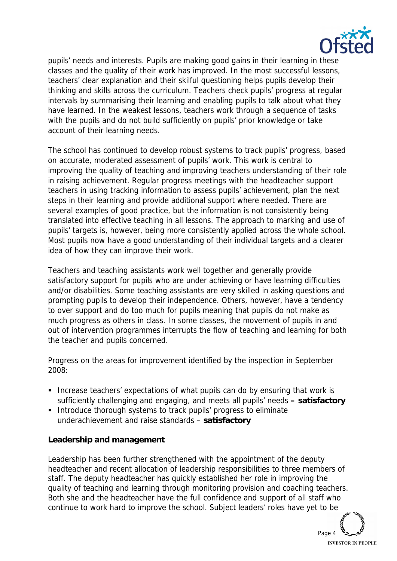

pupils' needs and interests. Pupils are making good gains in their learning in these classes and the quality of their work has improved. In the most successful lessons, teachers' clear explanation and their skilful questioning helps pupils develop their thinking and skills across the curriculum. Teachers check pupils' progress at regular intervals by summarising their learning and enabling pupils to talk about what they have learned. In the weakest lessons, teachers work through a sequence of tasks with the pupils and do not build sufficiently on pupils' prior knowledge or take account of their learning needs.

The school has continued to develop robust systems to track pupils' progress, based on accurate, moderated assessment of pupils' work. This work is central to improving the quality of teaching and improving teachers understanding of their role in raising achievement. Regular progress meetings with the headteacher support teachers in using tracking information to assess pupils' achievement, plan the next steps in their learning and provide additional support where needed. There are several examples of good practice, but the information is not consistently being translated into effective teaching in all lessons. The approach to marking and use of pupils' targets is, however, being more consistently applied across the whole school. Most pupils now have a good understanding of their individual targets and a clearer idea of how they can improve their work.

Teachers and teaching assistants work well together and generally provide satisfactory support for pupils who are under achieving or have learning difficulties and/or disabilities. Some teaching assistants are very skilled in asking questions and prompting pupils to develop their independence. Others, however, have a tendency to over support and do too much for pupils meaning that pupils do not make as much progress as others in class. In some classes, the movement of pupils in and out of intervention programmes interrupts the flow of teaching and learning for both the teacher and pupils concerned.

Progress on the areas for improvement identified by the inspection in September 2008:

- **Increase teachers' expectations of what pupils can do by ensuring that work is** sufficiently challenging and engaging, and meets all pupils' needs **– satisfactory**
- **Introduce thorough systems to track pupils' progress to eliminate** underachievement and raise standards – **satisfactory**

**Leadership and management**

Leadership has been further strengthened with the appointment of the deputy headteacher and recent allocation of leadership responsibilities to three members of staff. The deputy headteacher has quickly established her role in improving the quality of teaching and learning through monitoring provision and coaching teachers. Both she and the headteacher have the full confidence and support of all staff who continue to work hard to improve the school. Subject leaders' roles have yet to be

Page 4 **INVESTOR IN PEOPLE**